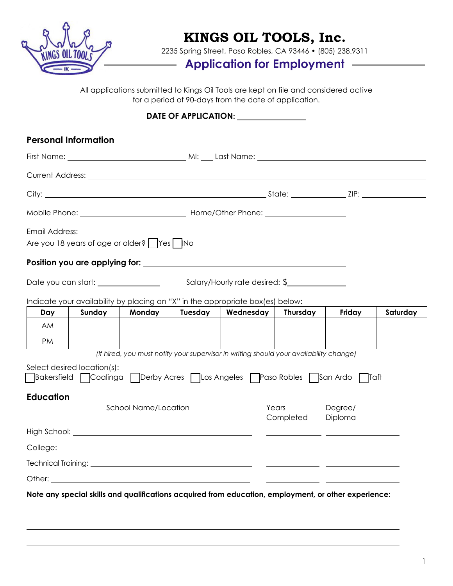

# **KINGS OIL TOOLS, Inc.**

2235 Spring Street, Paso Robles, CA 93446 • (805) 238.9311

## **Application for Employment**

All applications submitted to Kings Oil Tools are kept on file and considered active for a period of 90-days from the date of application.

### DATE OF APPLICATION: **<u>\_\_\_\_\_\_\_\_\_\_\_\_\_\_\_\_</u>**

|                                                                                                                                   | <b>Personal Information</b>                          |        |         |                                                                                                      |       |                    |          |  |
|-----------------------------------------------------------------------------------------------------------------------------------|------------------------------------------------------|--------|---------|------------------------------------------------------------------------------------------------------|-------|--------------------|----------|--|
|                                                                                                                                   |                                                      |        |         |                                                                                                      |       |                    |          |  |
|                                                                                                                                   |                                                      |        |         |                                                                                                      |       |                    |          |  |
|                                                                                                                                   |                                                      |        |         |                                                                                                      |       |                    |          |  |
|                                                                                                                                   |                                                      |        |         |                                                                                                      |       |                    |          |  |
|                                                                                                                                   |                                                      |        |         |                                                                                                      |       |                    |          |  |
|                                                                                                                                   | Are you 18 years of age or older?       Yes       No |        |         |                                                                                                      |       |                    |          |  |
|                                                                                                                                   |                                                      |        |         |                                                                                                      |       |                    |          |  |
| Salary/Hourly rate desired: \$                                                                                                    |                                                      |        |         |                                                                                                      |       |                    |          |  |
|                                                                                                                                   |                                                      |        |         | Indicate your availability by placing an "X" in the appropriate box(es) below:                       |       |                    |          |  |
| Day                                                                                                                               | Sunday                                               | Monday | Tuesday | Wednesday   Thursday                                                                                 |       | Friday             | Saturday |  |
| AM                                                                                                                                |                                                      |        |         |                                                                                                      |       |                    |          |  |
| PM                                                                                                                                |                                                      |        |         |                                                                                                      |       |                    |          |  |
|                                                                                                                                   |                                                      |        |         | (If hired, you must notify your supervisor in writing should your availability change)               |       |                    |          |  |
| Select desired location(s):<br>  Bakersfield   Coalinga   Derby Acres   Los Angeles   Paso Robles   San Ardo   Taft               |                                                      |        |         |                                                                                                      |       |                    |          |  |
| <b>Education</b>                                                                                                                  |                                                      |        |         |                                                                                                      |       |                    |          |  |
| <b>School Name/Location</b>                                                                                                       |                                                      |        |         |                                                                                                      | Years | Degree/<br>Diploma |          |  |
| Completed<br><u> 1989 - Andrea Barbara, amerikan personal di sebagai personal di sebagai personal di sebagai personal di seba</u> |                                                      |        |         |                                                                                                      |       |                    |          |  |
| <u> 1989 - Johann John Stone, mars et al. 1989 - John Stone, mars et al. 1989 - John Stone, mars et al. 1989 - John Stone</u>     |                                                      |        |         |                                                                                                      |       |                    |          |  |
| Technical Training: _                                                                                                             |                                                      |        |         |                                                                                                      |       |                    |          |  |
|                                                                                                                                   |                                                      |        |         |                                                                                                      |       |                    |          |  |
|                                                                                                                                   |                                                      |        |         | Note any special skills and qualifications acquired from education, employment, or other experience: |       |                    |          |  |
|                                                                                                                                   |                                                      |        |         |                                                                                                      |       |                    |          |  |
|                                                                                                                                   |                                                      |        |         |                                                                                                      |       |                    |          |  |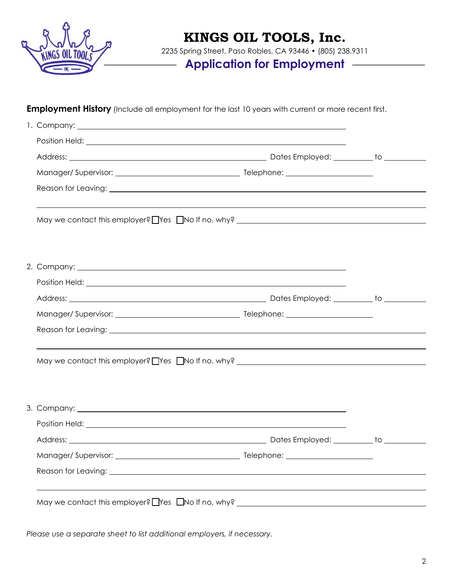

## **KINGS OIL TOOLS, Inc.**

2235 Spring Street, Paso Robles, CA 93446 • (805) 238.9311

 $\overline{\phantom{0}}$ 

### **Application for Employment**

#### **Employment History** (Include all employment for the last 10 years with current or more recent first.

| Position Held: Law Position Held: Law Position Held: Law Position Held: Law Position Held: Law Position Held: Law Position Held: Law Position Held: Law Position Held: Law Position Held: Law Position Held: Law Position Held       |                                                                                                                                                                                                                                |
|--------------------------------------------------------------------------------------------------------------------------------------------------------------------------------------------------------------------------------------|--------------------------------------------------------------------------------------------------------------------------------------------------------------------------------------------------------------------------------|
|                                                                                                                                                                                                                                      |                                                                                                                                                                                                                                |
|                                                                                                                                                                                                                                      |                                                                                                                                                                                                                                |
|                                                                                                                                                                                                                                      |                                                                                                                                                                                                                                |
|                                                                                                                                                                                                                                      |                                                                                                                                                                                                                                |
|                                                                                                                                                                                                                                      |                                                                                                                                                                                                                                |
|                                                                                                                                                                                                                                      |                                                                                                                                                                                                                                |
|                                                                                                                                                                                                                                      |                                                                                                                                                                                                                                |
|                                                                                                                                                                                                                                      |                                                                                                                                                                                                                                |
|                                                                                                                                                                                                                                      |                                                                                                                                                                                                                                |
|                                                                                                                                                                                                                                      |                                                                                                                                                                                                                                |
| 3. Company: 1000 million and 2000 million and 2000 million and 2000 million and 2000 million and 2000 million                                                                                                                        |                                                                                                                                                                                                                                |
| Position Held: <u>example and the set of the set of the set of the set of the set of the set of the set of the set of the set of the set of the set of the set of the set of the set of the set of the set of the set of the set</u> |                                                                                                                                                                                                                                |
|                                                                                                                                                                                                                                      |                                                                                                                                                                                                                                |
|                                                                                                                                                                                                                                      |                                                                                                                                                                                                                                |
| Reason for Leaving: University of the Contract of the Contract of the Contract of the Contract of the Contract of the Contract of the Contract of the Contract of the Contract of the Contract of the Contract of the Contract       |                                                                                                                                                                                                                                |
| May we contact this employer? Thes TNo If no, why? THE MORE THE MORE THE MORE THAT A MORE THE MORE THAT THE MO                                                                                                                       |                                                                                                                                                                                                                                |
|                                                                                                                                                                                                                                      | Position Held: Letter and the second state of the second state of the second state of the second state of the second state of the second state of the second state of the second state of the second state of the second state |

*Please use a separate sheet to list additional employers, if necessary.*